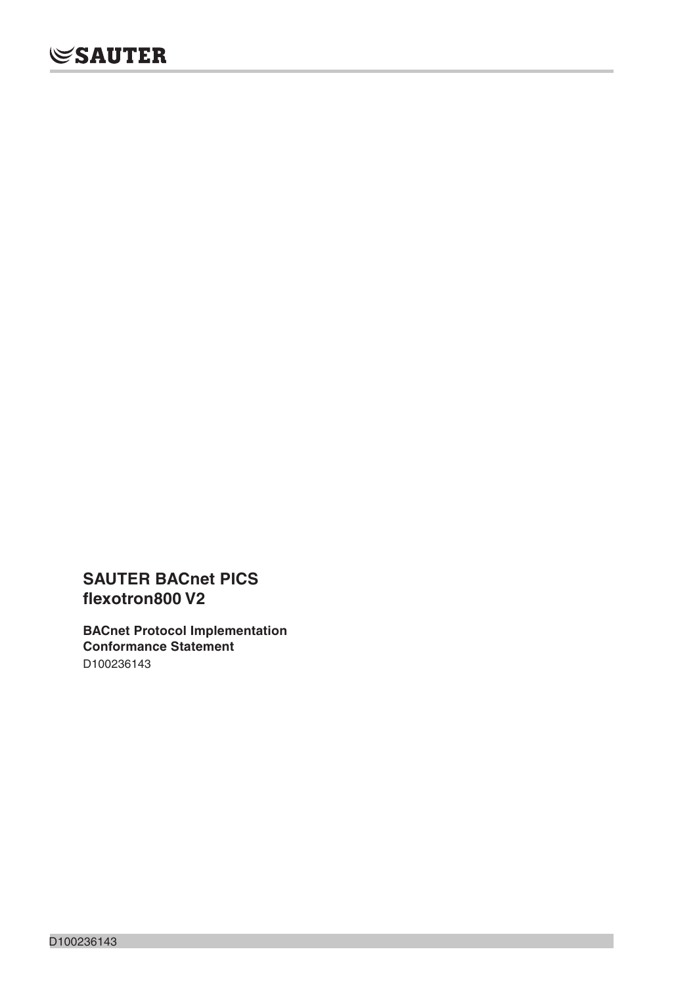**SAUTER BACnet PICS flexotron800 V2**

**BACnet Protocol Implementation Conformance Statement**  D100236143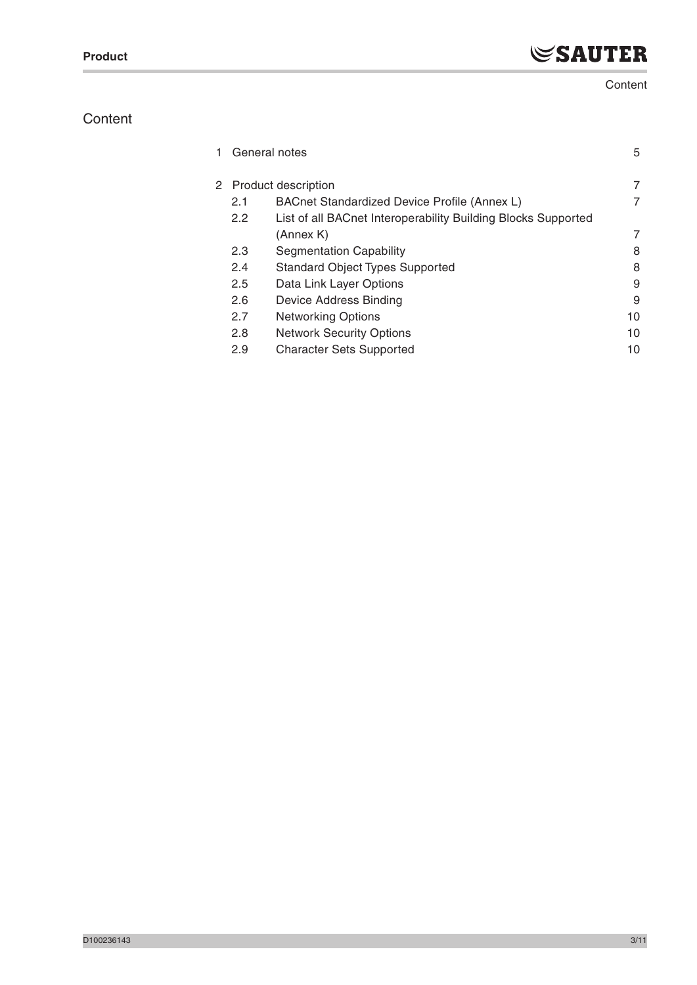# **Content**

# **Content**

| 1. | General notes |                                                               | 5  |
|----|---------------|---------------------------------------------------------------|----|
|    |               | 2 Product description                                         | 7  |
|    | 2.1           | BACnet Standardized Device Profile (Annex L)                  | 7  |
|    | 2.2           | List of all BACnet Interoperability Building Blocks Supported |    |
|    |               | (Annex K)                                                     | 7  |
|    | 2.3           | <b>Segmentation Capability</b>                                | 8  |
|    | 2.4           | <b>Standard Object Types Supported</b>                        | 8  |
|    | 2.5           | Data Link Layer Options                                       | 9  |
|    | 2.6           | Device Address Binding                                        | 9  |
|    | 2.7           | <b>Networking Options</b>                                     | 10 |
|    | 2.8           | <b>Network Security Options</b>                               | 10 |
|    | 2.9           | <b>Character Sets Supported</b>                               | 10 |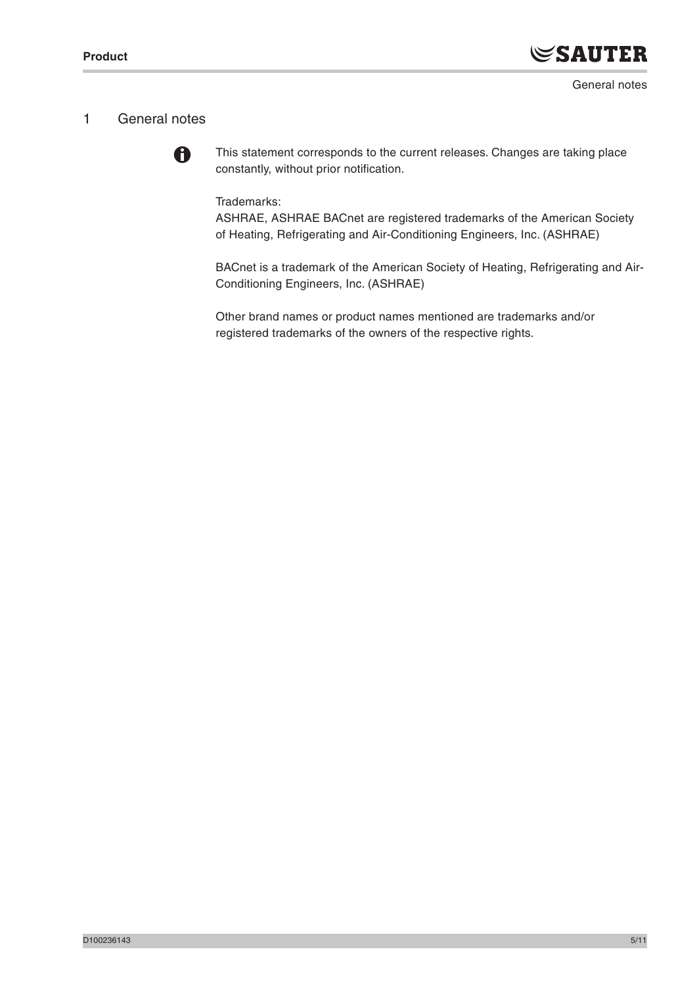# 1 General notes



This statement corresponds to the current releases. Changes are taking place constantly, without prior notification.

Trademarks:

ASHRAE, ASHRAE BACnet are registered trademarks of the American Society of Heating, Refrigerating and Air-Conditioning Engineers, Inc. (ASHRAE)

BACnet is a trademark of the American Society of Heating, Refrigerating and Air-Conditioning Engineers, Inc. (ASHRAE)

Other brand names or product names mentioned are trademarks and/or registered trademarks of the owners of the respective rights.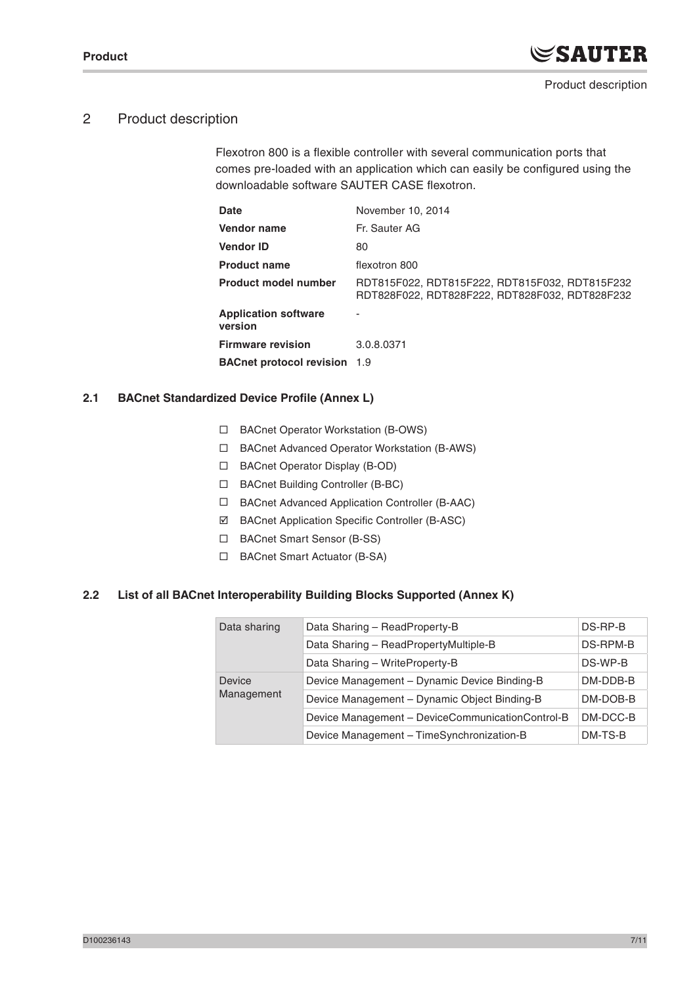# 2 Product description

Flexotron 800 is a flexible controller with several communication ports that comes pre-loaded with an application which can easily be configured using the downloadable software SAUTER CASE flexotron.

| Date                                   | November 10, 2014                                                                                |
|----------------------------------------|--------------------------------------------------------------------------------------------------|
| <b>Vendor name</b>                     | Fr. Sauter AG                                                                                    |
| <b>Vendor ID</b>                       | 80                                                                                               |
| <b>Product name</b>                    | flexotron 800                                                                                    |
| <b>Product model number</b>            | RDT815F022, RDT815F222, RDT815F032, RDT815F232<br>RDT828F022, RDT828F222, RDT828F032, RDT828F232 |
| <b>Application software</b><br>version |                                                                                                  |
| <b>Firmware revision</b>               | 3.0.8.0371                                                                                       |
| <b>BACnet protocol revision</b> 1.9    |                                                                                                  |
|                                        |                                                                                                  |

#### **2.1 BACnet Standardized Device Profile (Annex L)**

- □ BACnet Operator Workstation (B-OWS)
- BACnet Advanced Operator Workstation (B-AWS)
- BACnet Operator Display (B-OD)
- □ BACnet Building Controller (B-BC)
- BACnet Advanced Application Controller (B-AAC)
- BACnet Application Specific Controller (B-ASC)
- □ BACnet Smart Sensor (B-SS)
- □ BACnet Smart Actuator (B-SA)

### **2.2 List of all BACnet Interoperability Building Blocks Supported (Annex K)**

| Data sharing | Data Sharing - ReadProperty-B                    | DS-RP-B  |
|--------------|--------------------------------------------------|----------|
|              | Data Sharing - ReadPropertyMultiple-B            | DS-RPM-B |
|              | Data Sharing - WriteProperty-B                   | DS-WP-B  |
| Device       | Device Management - Dynamic Device Binding-B     | DM-DDB-B |
| Management   | Device Management - Dynamic Object Binding-B     | DM-DOB-B |
|              | Device Management - DeviceCommunicationControl-B | DM-DCC-B |
|              | Device Management - TimeSynchronization-B        | DM-TS-B  |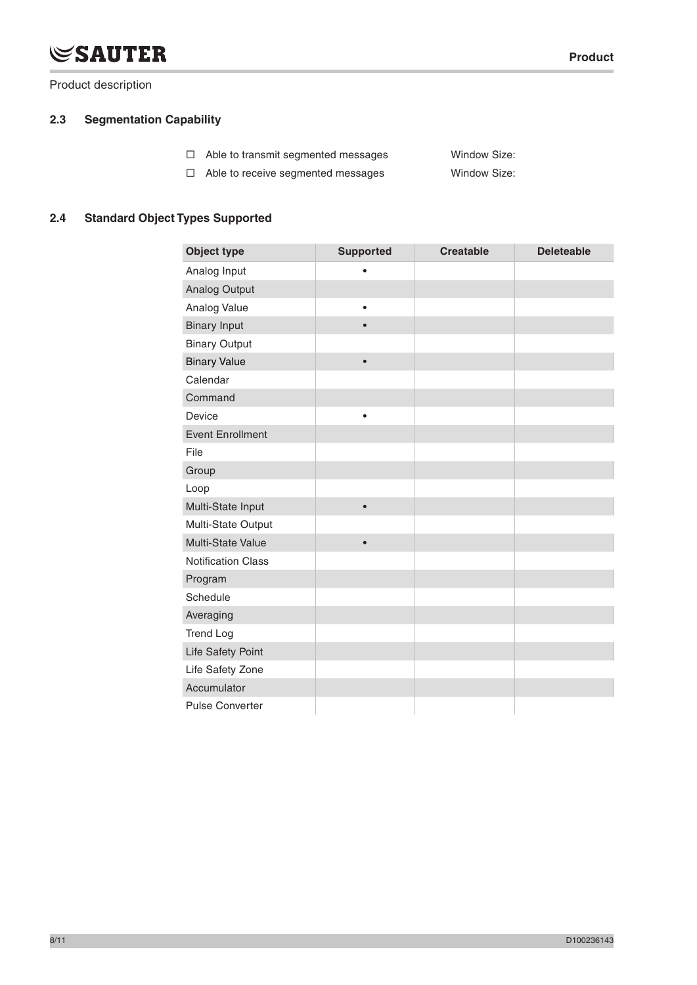# **SAUTER**

Product description

# **2.3 Segmentation Capability**

|  | $\Box$ Able to transmit segmented messages | Window Size: |
|--|--------------------------------------------|--------------|
|--|--------------------------------------------|--------------|

Able to receive segmented messages Window Size:

## **2.4 Standard Object Types Supported**

| <b>Object type</b>        | <b>Supported</b> | <b>Creatable</b> | <b>Deleteable</b> |
|---------------------------|------------------|------------------|-------------------|
| Analog Input              | $\bullet$        |                  |                   |
| <b>Analog Output</b>      |                  |                  |                   |
| Analog Value              | $\bullet$        |                  |                   |
| <b>Binary Input</b>       |                  |                  |                   |
| <b>Binary Output</b>      |                  |                  |                   |
| <b>Binary Value</b>       | $\bullet$        |                  |                   |
| Calendar                  |                  |                  |                   |
| Command                   |                  |                  |                   |
| Device                    | $\bullet$        |                  |                   |
| <b>Event Enrollment</b>   |                  |                  |                   |
| File                      |                  |                  |                   |
| Group                     |                  |                  |                   |
| Loop                      |                  |                  |                   |
| Multi-State Input         | $\bullet$        |                  |                   |
| Multi-State Output        |                  |                  |                   |
| Multi-State Value         | $\bullet$        |                  |                   |
| <b>Notification Class</b> |                  |                  |                   |
| Program                   |                  |                  |                   |
| Schedule                  |                  |                  |                   |
| Averaging                 |                  |                  |                   |
| <b>Trend Log</b>          |                  |                  |                   |
| Life Safety Point         |                  |                  |                   |
| Life Safety Zone          |                  |                  |                   |
| Accumulator               |                  |                  |                   |
| <b>Pulse Converter</b>    |                  |                  |                   |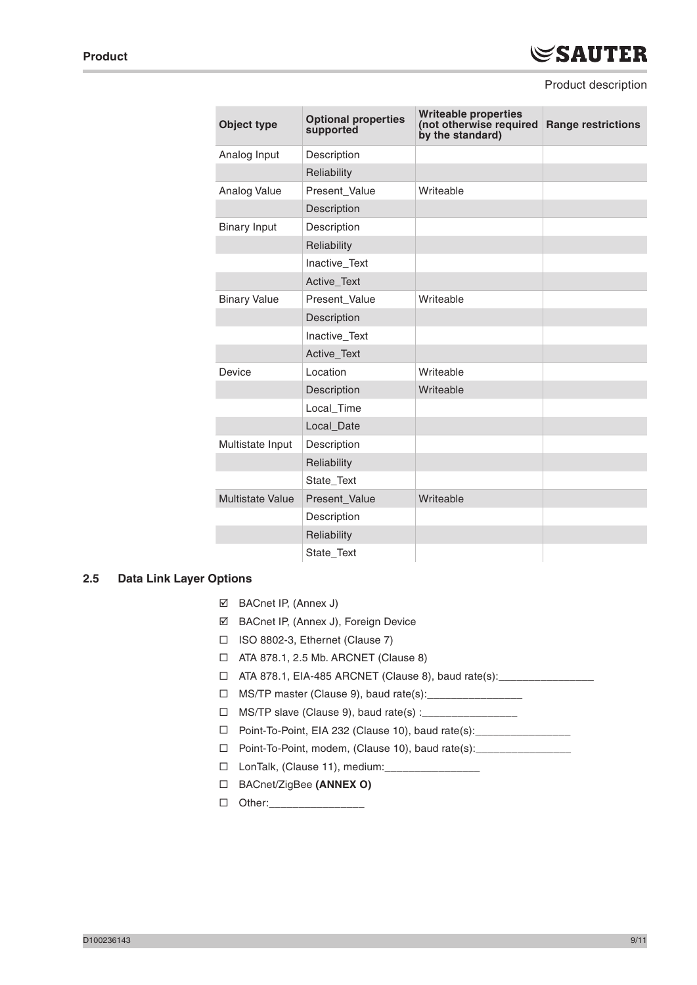#### Product description

| <b>Object type</b>      | <b>Optional properties</b><br>supported | <b>Writeable properties</b><br>(not otherwise required<br>by the standard) | <b>Range restrictions</b> |
|-------------------------|-----------------------------------------|----------------------------------------------------------------------------|---------------------------|
| Analog Input            | Description                             |                                                                            |                           |
|                         | Reliability                             |                                                                            |                           |
| Analog Value            | Present_Value                           | Writeable                                                                  |                           |
|                         | Description                             |                                                                            |                           |
| <b>Binary Input</b>     | Description                             |                                                                            |                           |
|                         | Reliability                             |                                                                            |                           |
|                         | Inactive_Text                           |                                                                            |                           |
|                         | Active_Text                             |                                                                            |                           |
| <b>Binary Value</b>     | Present_Value                           | Writeable                                                                  |                           |
|                         | Description                             |                                                                            |                           |
|                         | Inactive_Text                           |                                                                            |                           |
|                         | <b>Active Text</b>                      |                                                                            |                           |
| Device                  | Location                                | Writeable                                                                  |                           |
|                         | Description                             | Writeable                                                                  |                           |
|                         | Local_Time                              |                                                                            |                           |
|                         | Local_Date                              |                                                                            |                           |
| Multistate Input        | Description                             |                                                                            |                           |
|                         | Reliability                             |                                                                            |                           |
|                         | State_Text                              |                                                                            |                           |
| <b>Multistate Value</b> | Present_Value                           | Writeable                                                                  |                           |
|                         | Description                             |                                                                            |                           |
|                         | Reliability                             |                                                                            |                           |
|                         | State Text                              |                                                                            |                           |

#### **2.5 Data Link Layer Options**

- BACnet IP, (Annex J)
- BACnet IP, (Annex J), Foreign Device
- ISO 8802-3, Ethernet (Clause 7)
- ATA 878.1, 2.5 Mb. ARCNET (Clause 8)
- □ ATA 878.1, EIA-485 ARCNET (Clause 8), baud rate(s): \_\_\_\_\_\_\_\_\_\_\_\_
- □ MS/TP master (Clause 9), baud rate(s):
- $\Box$  MS/TP slave (Clause 9), baud rate(s) :
- □ Point-To-Point, EIA 232 (Clause 10), baud rate(s): \_\_\_\_\_\_\_\_\_\_
- □ Point-To-Point, modem, (Clause 10), baud rate(s):
- □ LonTalk, (Clause 11), medium:
- BACnet/ZigBee **(ANNEX O)**

 $\Box$  Other: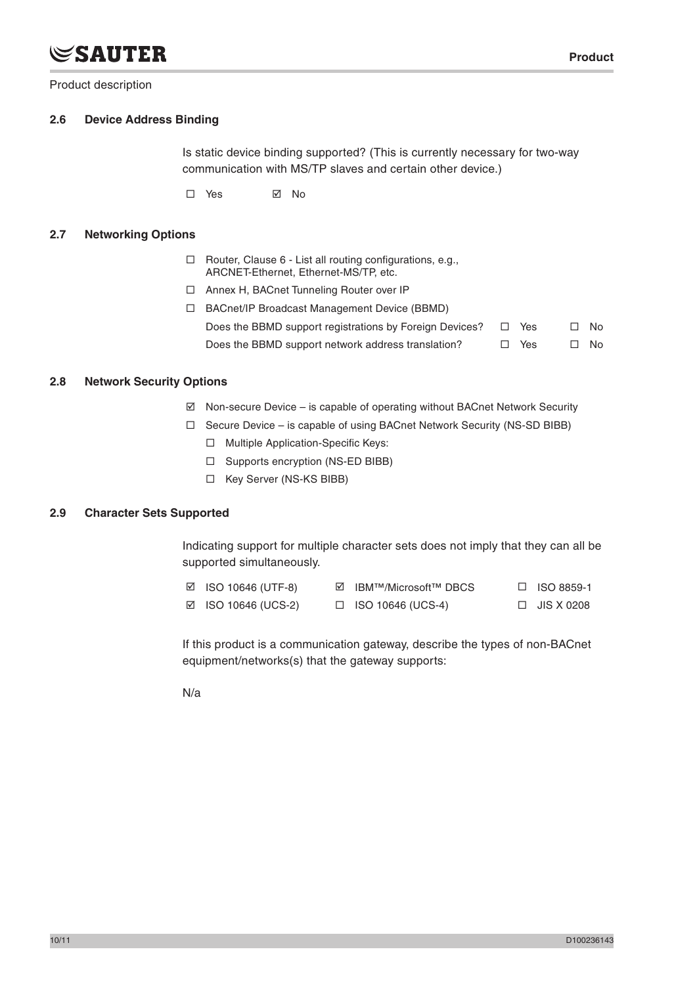# **SAUTER**

Product description

### **2.6 Device Address Binding**

Is static device binding supported? (This is currently necessary for two-way communication with MS/TP slaves and certain other device.)

□ Yes ⊠ No

#### **2.7 Networking Options**

- $\Box$  Router, Clause 6 List all routing configurations, e.g., ARCNET-Ethernet, Ethernet-MS/TP, etc.
- □ Annex H, BACnet Tunneling Router over IP
- BACnet/IP Broadcast Management Device (BBMD) Does the BBMD support registrations by Foreign Devices?  $\Box$  Yes  $\Box$  No Does the BBMD support network address translation?  $\Box$  Yes  $\Box$  No

## **2.8 Network Security Options**

- $\boxtimes$  Non-secure Device is capable of operating without BACnet Network Security
- $\Box$  Secure Device is capable of using BACnet Network Security (NS-SD BIBB)
	- □ Multiple Application-Specific Keys:
	- $\square$  Supports encryption (NS-ED BIBB)
	- □ Key Server (NS-KS BIBB)

### **2.9 Character Sets Supported**

Indicating support for multiple character sets does not imply that they can all be supported simultaneously.

| $\boxtimes$ ISO 10646 (UTF-8) | <b>☑</b> IBM™/Microsoft™ DBCS | $\Box$ ISO 8859-1 |
|-------------------------------|-------------------------------|-------------------|
| $\boxtimes$ ISO 10646 (UCS-2) | $\Box$ ISO 10646 (UCS-4)      | $\Box$ JIS X 0208 |

If this product is a communication gateway, describe the types of non-BACnet equipment/networks(s) that the gateway supports:

N/a